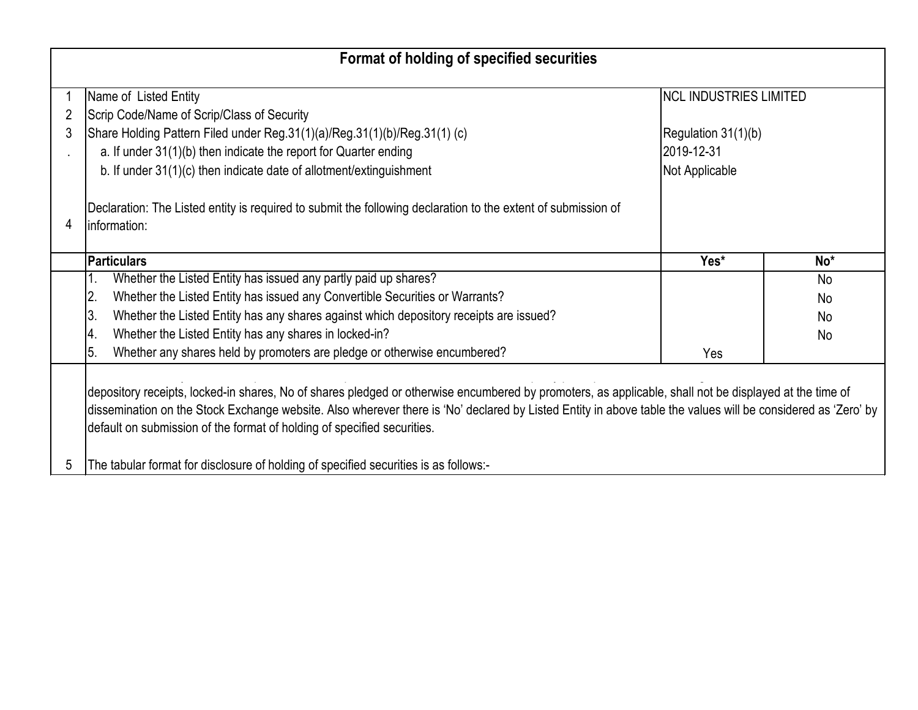|        | Format of holding of specified securities                                                                                                                                                                                                                                                                                                                                                                                                                                                 |                                                                                       |                 |
|--------|-------------------------------------------------------------------------------------------------------------------------------------------------------------------------------------------------------------------------------------------------------------------------------------------------------------------------------------------------------------------------------------------------------------------------------------------------------------------------------------------|---------------------------------------------------------------------------------------|-----------------|
| 2<br>3 | Name of Listed Entity<br>Scrip Code/Name of Scrip/Class of Security<br>Share Holding Pattern Filed under Reg.31(1)(a)/Reg.31(1)(b)/Reg.31(1) (c)<br>a. If under 31(1)(b) then indicate the report for Quarter ending<br>b. If under 31(1)(c) then indicate date of allotment/extinguishment                                                                                                                                                                                               | <b>INCL INDUSTRIES LIMITED</b><br>Regulation 31(1)(b)<br>2019-12-31<br>Not Applicable |                 |
| 4      | Declaration: The Listed entity is required to submit the following declaration to the extent of submission of<br>linformation:                                                                                                                                                                                                                                                                                                                                                            |                                                                                       |                 |
|        | <b>Particulars</b>                                                                                                                                                                                                                                                                                                                                                                                                                                                                        | Yes*                                                                                  | No <sup>*</sup> |
|        | Whether the Listed Entity has issued any partly paid up shares?<br>1.                                                                                                                                                                                                                                                                                                                                                                                                                     |                                                                                       | <b>No</b>       |
|        | Whether the Listed Entity has issued any Convertible Securities or Warrants?<br>2.                                                                                                                                                                                                                                                                                                                                                                                                        |                                                                                       | No              |
|        | ΙЗ.<br>Whether the Listed Entity has any shares against which depository receipts are issued?                                                                                                                                                                                                                                                                                                                                                                                             |                                                                                       | No              |
|        | Whether the Listed Entity has any shares in locked-in?<br>4.                                                                                                                                                                                                                                                                                                                                                                                                                              |                                                                                       | No              |
|        | Whether any shares held by promoters are pledge or otherwise encumbered?<br>l5.                                                                                                                                                                                                                                                                                                                                                                                                           | Yes                                                                                   |                 |
| 5      | depository receipts, locked-in shares, No of shares pledged or otherwise encumbered by promoters, as applicable, shall not be displayed at the time of<br>dissemination on the Stock Exchange website. Also wherever there is 'No' declared by Listed Entity in above table the values will be considered as 'Zero' by<br>default on submission of the format of holding of specified securities.<br>The tabular format for disclosure of holding of specified securities is as follows:- |                                                                                       |                 |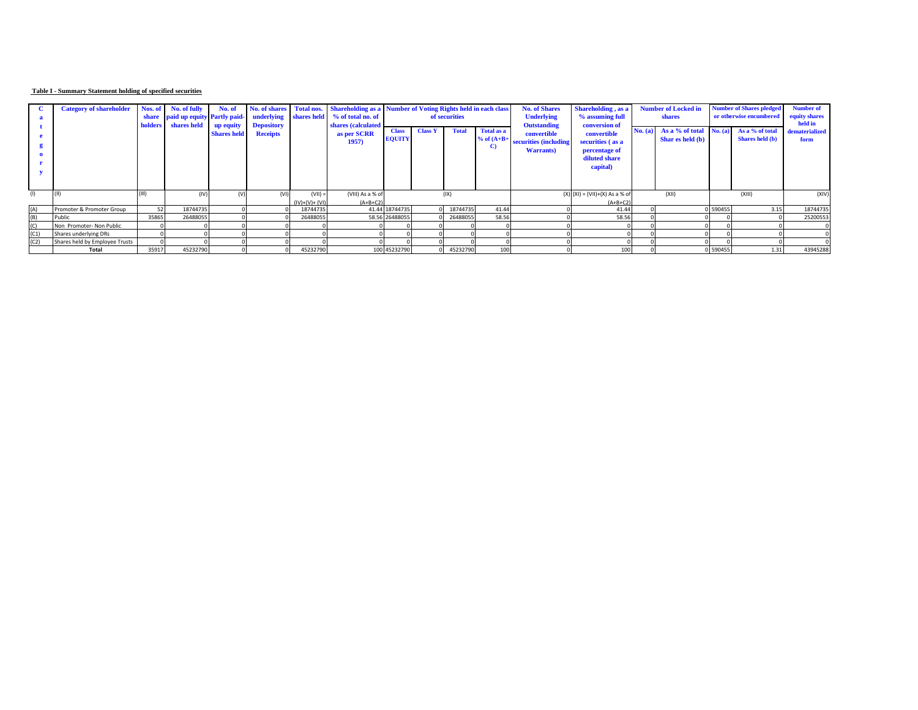## **Table I - Summary Statement holding of specified securities**

|      | <b>Category of shareholder</b> | <b>holders</b> | Nos. of No. of fully<br>share paid up equity Partly paid-<br>shares held | No. of                          | No. of shares<br>underlying<br><b>Depository</b> |                              | <b>Total nos.</b> Shareholding as a Number of Voting Rights held in each class<br>shares held % of total no. of<br>shares (calculated |                                                                                                                        | of securities                                             |                                                                               | <b>No. of Shares</b><br><b>Underlying</b><br><b>Outstanding</b> | <b>Shareholding</b> , as a<br>% assuming full<br>conversion of | <b>Number of Locked in</b><br>shares |                                    |                        | <b>Number of Shares pledged</b><br>or otherwise encumbered | Number of<br>equity shares<br>held in |
|------|--------------------------------|----------------|--------------------------------------------------------------------------|---------------------------------|--------------------------------------------------|------------------------------|---------------------------------------------------------------------------------------------------------------------------------------|------------------------------------------------------------------------------------------------------------------------|-----------------------------------------------------------|-------------------------------------------------------------------------------|-----------------------------------------------------------------|----------------------------------------------------------------|--------------------------------------|------------------------------------|------------------------|------------------------------------------------------------|---------------------------------------|
|      |                                |                |                                                                          | up equity<br><b>Shares held</b> | <b>Receipts</b>                                  |                              | as per SCRR<br>1957                                                                                                                   | <b>Total</b><br><b>Total as a</b><br><b>Class Y</b><br><b>Class</b><br><b>EQUITY</b><br>$%$ of $(A+B+$<br>$\mathbf{C}$ | convertible<br>securities (including<br><b>Warrants</b> ) | convertible<br>securities (as a<br>percentage of<br>diluted share<br>capital) |                                                                 | No. (a) As a $%$ of total<br>Shar es held (b)                  | No. (a)                              | As a % of total<br>Shares held (b) | dematerialized<br>form |                                                            |                                       |
| (1)  |                                |                | (IV)                                                                     |                                 |                                                  | $(VII) =$<br>$(IV)+(V)+(VI)$ | (VIII) As a % of<br>$(A+B+C2)$                                                                                                        |                                                                                                                        | (IX)                                                      |                                                                               |                                                                 | $(X) (XI) = (VII)+(X) As a % of$<br>$(A+B+C2)$                 |                                      | (XII)                              |                        | (XIII)                                                     | (XIV)                                 |
| (A)  | Promoter & Promoter Group      | 52             | 18744735                                                                 |                                 |                                                  | 18744735                     |                                                                                                                                       | 41.44 18744735                                                                                                         | 18744735                                                  | 41.44                                                                         |                                                                 | 41.44                                                          |                                      |                                    | 0 590455               | 3.15                                                       | 18744735                              |
| (B)  | Public                         | 35865          | 26488055                                                                 |                                 |                                                  | 26488055                     |                                                                                                                                       | 58.56 26488055                                                                                                         | 26488055                                                  | 58.56                                                                         |                                                                 | 58.56                                                          |                                      |                                    |                        |                                                            | 25200553                              |
| (C)  | Non Promoter- Non Public       |                |                                                                          |                                 |                                                  |                              |                                                                                                                                       |                                                                                                                        |                                                           |                                                                               |                                                                 |                                                                |                                      |                                    |                        |                                                            |                                       |
| (C1) | Shares underlying DRs          |                |                                                                          |                                 |                                                  |                              |                                                                                                                                       |                                                                                                                        |                                                           |                                                                               |                                                                 |                                                                |                                      |                                    |                        |                                                            |                                       |
| (C2) | Shares held by Employee Trusts |                |                                                                          |                                 |                                                  |                              |                                                                                                                                       |                                                                                                                        |                                                           |                                                                               |                                                                 |                                                                |                                      |                                    |                        |                                                            |                                       |
|      | Total                          | 35917          | 45232790                                                                 |                                 |                                                  | 45232790                     |                                                                                                                                       | 100 45232790                                                                                                           | 45232790                                                  | 100                                                                           |                                                                 | 100                                                            |                                      |                                    | 0 590455               | 1.31                                                       | 43945288                              |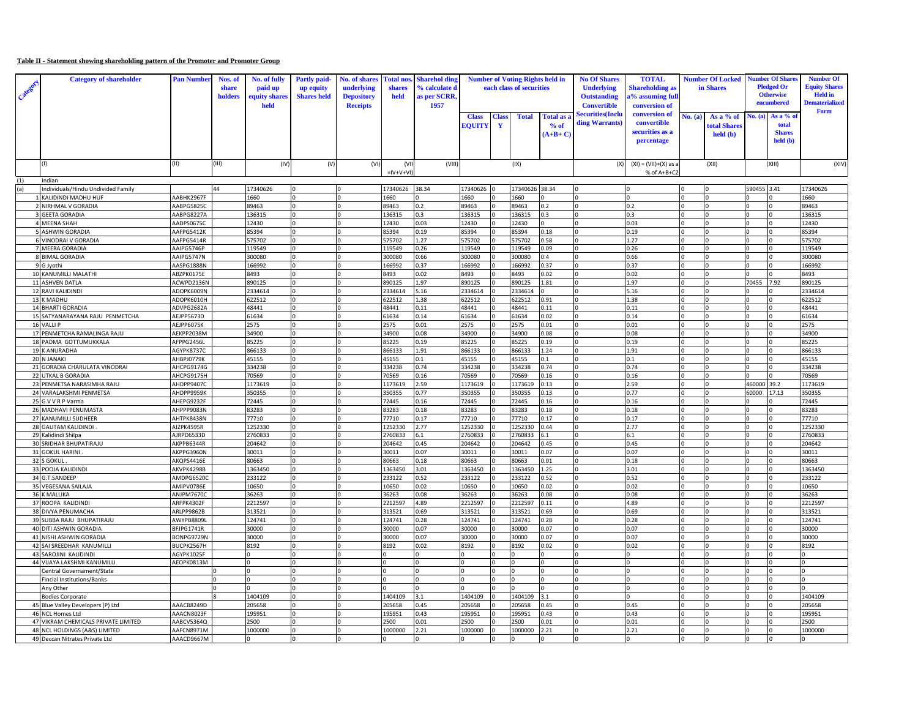## **Table II - Statement showing shareholding pattern of the Promoter and Promoter Group**

| Categ | <b>Category of shareholder</b>                     | <b>Pan Number</b>        | Nos. of<br>share<br>holders | No. of fully<br>paid up<br>equity share<br>held | <b>Partly paid-</b><br>up equity<br><b>Shares</b> held | <b>No. of shares</b><br>underlying<br><b>Depository</b><br><b>Receipts</b> | <b>otal</b> nos<br>shares<br>held | <b>Sharehol ding</b><br>% calculate d<br>as per SCRR,<br>1957 |                        |           | <b>Number of Voting Rights held in</b><br>each class of securities |                                 | <b>No Of Shares</b><br><b>Underlying</b><br><b>Outstanding</b><br><b>Convertible</b> | <b>TOTAL</b><br><b>Shareholding</b> as<br>a% assuming full<br>conversion of |         | <b>Number Of Locked</b><br>in Shares                  |             | <b>umber Of Shar</b><br><b>Pledged Or</b><br><b>Otherwise</b><br>encumbered | <b>Number Of</b><br><b>Equity Shares</b><br><b>Held</b> in<br><b>Dematerialized</b><br>Form |
|-------|----------------------------------------------------|--------------------------|-----------------------------|-------------------------------------------------|--------------------------------------------------------|----------------------------------------------------------------------------|-----------------------------------|---------------------------------------------------------------|------------------------|-----------|--------------------------------------------------------------------|---------------------------------|--------------------------------------------------------------------------------------|-----------------------------------------------------------------------------|---------|-------------------------------------------------------|-------------|-----------------------------------------------------------------------------|---------------------------------------------------------------------------------------------|
|       |                                                    |                          |                             |                                                 |                                                        |                                                                            |                                   |                                                               | <b>Class</b><br>EOUITY | Clas<br>Y | <b>Total</b>                                                       | Total as a<br>% of<br>$(A+B+C)$ | <b>Securities</b> (Inclu<br>ding Warrants                                            | conversion of<br>convertible<br>securities as a<br>percentage               | No. (a) | As a % of<br>otal Shares<br>$\text{held}(\textbf{b})$ | Vo. (a)     | As a % of<br>total<br><b>Shares</b><br>held (b)                             |                                                                                             |
|       | (1)                                                | (II)                     | (III)                       | (IV)                                            | (V)                                                    | (VI)                                                                       | (VII<br>$=$ IV+V+VI               | (VIII)                                                        |                        |           | (IX)                                                               |                                 | (x)                                                                                  | $(XI) = (VII)+(X)$ as a<br>% of A+B+C2                                      |         | (XII)                                                 |             | (XIII)                                                                      | (XIV)                                                                                       |
| (1)   | Indian                                             |                          |                             |                                                 |                                                        |                                                                            |                                   |                                                               |                        |           |                                                                    |                                 |                                                                                      |                                                                             |         |                                                       |             |                                                                             |                                                                                             |
| (a)   | Individuals/Hindu Undivided Family                 |                          | 44                          | 17340626                                        |                                                        |                                                                            | 17340626                          | 38.34                                                         | 17340626               |           | 17340626 38.34                                                     |                                 |                                                                                      |                                                                             |         |                                                       | 590455 3.41 |                                                                             | 17340626                                                                                    |
|       | KALIDINDI MADHU HUF                                | AABHK2967F               |                             | 1660                                            | 0                                                      |                                                                            | 1660                              |                                                               | 1660                   |           | 1660                                                               | $\Omega$                        |                                                                                      | $\Omega$                                                                    | U       |                                                       |             |                                                                             | 1660                                                                                        |
|       | 2 NIRHMAL V GORADIA                                | AABPG5825C               |                             | 89463                                           | 0                                                      |                                                                            | 89463                             | 0.2                                                           | 89463                  |           | 89463                                                              | 0.2                             |                                                                                      | 0.2                                                                         |         |                                                       |             |                                                                             | 89463                                                                                       |
|       | 3 GEETA GORADIA<br>4 MEENA SHAH                    | AABPG8227A<br>AADPS0675C |                             | 136315<br>12430                                 |                                                        |                                                                            | 136315<br>12430                   | 0.3<br>0.03                                                   | 136315<br>12430        |           | 136315<br>12430                                                    | 0.3                             |                                                                                      | 0.3<br>0.03                                                                 |         |                                                       |             |                                                                             | 136315<br>12430                                                                             |
|       | 5 ASHWIN GORADIA                                   | AAFPG5412K               |                             | 85394                                           |                                                        |                                                                            | 85394                             | 0.19                                                          | 35394                  |           | 85394                                                              | 0.18                            |                                                                                      | 0.19                                                                        |         |                                                       |             |                                                                             | 85394                                                                                       |
|       | 6 VINODRAI V GORADIA                               | AAFPG5414R               |                             | 575702                                          |                                                        |                                                                            | 575702                            | 1.27                                                          | 575702                 |           | 575702                                                             | 0.58                            |                                                                                      | 1.27                                                                        |         |                                                       |             |                                                                             | 575702                                                                                      |
|       | 7 MEERA GORADIA                                    | AAIPG5746P               |                             | 119549                                          |                                                        |                                                                            | 119549                            | 0.26                                                          | 119549                 |           | 119549                                                             | 0.09                            |                                                                                      | 0.26                                                                        |         |                                                       |             |                                                                             | 119549                                                                                      |
|       | 8 BIMAL GORADIA                                    | AAIPG5747N               |                             | 300080                                          |                                                        |                                                                            | 300080                            | 0.66                                                          | 300080                 |           | 300080                                                             | 0.4                             |                                                                                      | 0.66                                                                        |         |                                                       |             |                                                                             | 300080                                                                                      |
|       | 9 G Jyothi                                         | AASPG1888N               |                             | 166992                                          |                                                        |                                                                            | 166992                            | 0.37                                                          | 166992                 |           | 166992                                                             | 0.37                            |                                                                                      | 0.37                                                                        |         |                                                       |             |                                                                             | 166992                                                                                      |
|       | 10 KANUMILLI MALATHI                               | ABZPK0175E               |                             | 8493                                            |                                                        |                                                                            | 8493                              | 0.02                                                          | 8493                   |           | 8493                                                               | 0.02                            |                                                                                      | 0.02                                                                        |         |                                                       |             |                                                                             | 8493                                                                                        |
|       | 11 ASHVEN DATLA                                    | ACWPD2136N               |                             | 890125                                          |                                                        |                                                                            | 890125                            | 1.97                                                          | 890125                 |           | 890125                                                             | 1.81                            |                                                                                      | 1.97                                                                        |         |                                                       | 70455       | 7.92                                                                        | 890125                                                                                      |
|       | 12 RAVI KALIDINDI<br>13 K MADHU                    | ADOPK6009N<br>ADOPK6010H |                             | 2334614<br>622512                               |                                                        |                                                                            | 2334614<br>622512                 | 5.16<br>1.38                                                  | 2334614<br>622512      |           | 2334614<br>622512                                                  | 0.91                            |                                                                                      | 5.16<br>1.38                                                                |         |                                                       |             |                                                                             | 2334614<br>622512                                                                           |
|       | 14 BHARTI GORADIA                                  | ADVPG2682A               |                             | 48441                                           |                                                        |                                                                            | 48441                             | 0.11                                                          | 48441                  |           | 48441                                                              | 0.11                            |                                                                                      | 0.11                                                                        |         |                                                       |             |                                                                             | 48441                                                                                       |
|       | 15 SATYANARAYANA RAJU PENMETCHA                    | AEJPP5673D               |                             | 61634                                           | 0                                                      |                                                                            | 61634                             | 0.14                                                          | 61634                  |           | 61634                                                              | 0.02                            |                                                                                      | 0.14                                                                        |         |                                                       |             |                                                                             | 61634                                                                                       |
|       | 16 VALLI P                                         | AEJPP6075K               |                             | 2575                                            |                                                        |                                                                            | 2575                              | 0.01                                                          | 2575                   |           | 2575                                                               | 0.01                            |                                                                                      | 0.01                                                                        | U       |                                                       |             |                                                                             | 2575                                                                                        |
|       | 17 PENMETCHA RAMALINGA RAJU                        | AEKPP2038M               |                             | 34900                                           |                                                        |                                                                            | 34900                             | 0.08                                                          | 34900                  |           | 34900                                                              | 0.08                            |                                                                                      | 0.08                                                                        |         |                                                       |             |                                                                             | 34900                                                                                       |
|       | 18 PADMA GOTTUMUKKALA                              | AFPPG2456L               |                             | 85225                                           |                                                        |                                                                            | 85225                             | 0.19                                                          | 85225                  |           | 85225                                                              | 0.19                            |                                                                                      | 0.19                                                                        |         |                                                       |             |                                                                             | 85225                                                                                       |
|       | 19 K ANURADHA                                      | AGYPK8737C               |                             | 866133                                          |                                                        |                                                                            | 866133                            | 1.91                                                          | 866133                 |           | 866133                                                             | 1.24                            |                                                                                      | 1.91                                                                        |         |                                                       |             |                                                                             | 866133                                                                                      |
|       | 20 N JANAKI                                        | AHBPJ0779K               |                             | 45155                                           |                                                        |                                                                            | 45155                             | 0.1                                                           | 45155                  |           | 45155                                                              | 0.1                             |                                                                                      | 0.1                                                                         |         |                                                       |             |                                                                             | 45155                                                                                       |
|       | 21 GORADIA CHARULATA VINODRAI                      | AHCPG9174G               |                             | 334238                                          |                                                        |                                                                            | 334238                            | 0.74                                                          | 334238                 |           | 334238                                                             | 0.74                            |                                                                                      | 0.74                                                                        |         |                                                       |             |                                                                             | 334238                                                                                      |
|       | 22 UTKAL B GORADIA<br>23 PENMETSA NARASIMHA RAJU   | AHCPG9175H<br>AHDPP9407C |                             | 70569<br>1173619                                |                                                        |                                                                            | 70569<br>173619                   | 0.16<br>2.59                                                  | 70569<br>1173619       |           | 70569<br>1173619                                                   | 0.16<br>0.13                    |                                                                                      | 0.16<br>2.59                                                                |         |                                                       | 460000      | 39.2                                                                        | 70569<br>1173619                                                                            |
|       | 24 VARALAKSHMI PENMETSA                            | <b>АНDPP9959К</b>        |                             | 350355                                          | 0                                                      |                                                                            | 350355                            | 0.77                                                          | 350355                 |           | 350355                                                             | 0.13                            |                                                                                      | 0.77                                                                        | U       |                                                       | 60000       | 17.13                                                                       | 350355                                                                                      |
|       | 25 G V V R P Varma                                 | AHEPG9232F               |                             | 72445                                           |                                                        |                                                                            | 72445                             | 0.16                                                          | 72445                  |           | 72445                                                              | 0.16                            |                                                                                      | 0.16                                                                        | U       |                                                       |             |                                                                             | 72445                                                                                       |
|       | 26 MADHAVI PENUMASTA                               | AHPPP9083N               |                             | 83283                                           |                                                        |                                                                            | 83283                             | 0.18                                                          | 83283                  |           | 83283                                                              | 0.18                            |                                                                                      | 0.18                                                                        |         |                                                       |             |                                                                             | 83283                                                                                       |
|       | 27 KANUMILLI SUDHEER                               | AHTPK8438N               |                             | 77710                                           |                                                        |                                                                            | 77710                             | 0.17                                                          | 77710                  |           | 77710                                                              | 0.17                            |                                                                                      | 0.17                                                                        |         |                                                       |             |                                                                             | 77710                                                                                       |
|       | 28 GAUTAM KALIDINDI                                | AIZPK4595R               |                             | 1252330                                         |                                                        |                                                                            | 1252330                           | 2.77                                                          | 1252330                |           | 1252330                                                            | 0.44                            |                                                                                      | 2.77                                                                        |         |                                                       |             |                                                                             | 1252330                                                                                     |
|       | 29 Kalidindi Shilpa                                | AJRPD6533D               |                             | 2760833                                         |                                                        |                                                                            | 2760833                           | 6.1                                                           | 2760833                |           | 2760833                                                            | 6.1                             |                                                                                      | 6.1                                                                         |         |                                                       |             |                                                                             | 2760833                                                                                     |
|       | 30 SRIDHAR BHUPATIRAJU                             | AKPPB6344R               |                             | 204642                                          |                                                        |                                                                            | 204642                            | 0.45                                                          | 204642                 |           | 204642                                                             | 0.45                            |                                                                                      | 0.45                                                                        |         |                                                       |             |                                                                             | 204642                                                                                      |
|       | 31 GOKUL HARINI                                    | AKPPG3960N               |                             | 30011                                           |                                                        |                                                                            | 30011                             | 0.07                                                          | 30011                  |           | 30011                                                              | 0.07                            |                                                                                      | 0.07                                                                        |         |                                                       |             |                                                                             | 30011                                                                                       |
|       | 32 S GOKUL                                         | AKQPS4416E               |                             | 80663                                           |                                                        |                                                                            | 80663                             | 0.18<br>3.01                                                  | 30663                  |           | 80663                                                              | 0.01                            |                                                                                      | 0.18                                                                        |         |                                                       |             |                                                                             | 30663                                                                                       |
|       | 33 POOJA KALIDINDI<br>34 G.T.SANDEEP               | AKVPK4298B<br>AMDPG6520C |                             | 1363450<br>233122                               |                                                        |                                                                            | 1363450<br>233122                 | 0.52                                                          | 1363450<br>233122      |           | 1363450<br>233122                                                  | 1.25<br>0.52                    |                                                                                      | 3.01<br>0.52                                                                |         | In<br><b>n</b>                                        |             |                                                                             | 1363450<br>233122                                                                           |
|       | 35 VEGESANA SAILAJA                                | AMIPV0786E               |                             | 10650                                           |                                                        |                                                                            | 10650                             | 0.02                                                          | 10650                  |           | 10650                                                              | 0.02                            |                                                                                      | 0.02                                                                        |         |                                                       |             |                                                                             | 10650                                                                                       |
|       | 36 K MALLIKA                                       | ANJPM7670C               |                             | 36263                                           |                                                        |                                                                            | 36263                             | 0.08                                                          | 36263                  |           | 36263                                                              | 0.08                            |                                                                                      | 0.08                                                                        |         |                                                       |             |                                                                             | 36263                                                                                       |
|       | 37 ROOPA KALIDINDI                                 | ARFPK4302F               |                             | 2212597                                         |                                                        |                                                                            | 2212597                           | 4.89                                                          | 2212597                |           | 2212597                                                            | 0.11                            |                                                                                      | 4.89                                                                        |         |                                                       |             |                                                                             | 2212597                                                                                     |
|       | 38 DIVYA PENUMACHA                                 | ARLPP9862B               |                             | 313521                                          |                                                        |                                                                            | 313521                            | 0.69                                                          | 313521                 |           | 313521                                                             | 0.69                            |                                                                                      | 0.69                                                                        |         |                                                       |             |                                                                             | 313521                                                                                      |
|       | 39 SUBBA RAJU BHUPATIRAJU                          | AWYPB8809I               |                             | 124741                                          |                                                        |                                                                            | 124741                            | 0.28                                                          | 124741                 |           | 124741                                                             | 0.28                            |                                                                                      | 0.28                                                                        |         |                                                       |             |                                                                             | 124741                                                                                      |
|       | 40 DITI ASHWIN GORADIA                             | BFJPG1741R               |                             | 30000                                           |                                                        |                                                                            | 30000                             | 0.07                                                          | 30000                  |           | 30000                                                              | 0.07                            |                                                                                      | 0.07                                                                        |         |                                                       |             |                                                                             | 30000                                                                                       |
|       | 41 NISHI ASHWIN GORADIA                            | ONPG9729N                |                             | 30000                                           |                                                        |                                                                            | 30000                             | 0.07                                                          | 30000                  |           | 30000                                                              | 0.07                            |                                                                                      | 0.07                                                                        |         |                                                       |             |                                                                             | 30000                                                                                       |
|       | 42 SAI SREEDHAR KANUMILLI<br>43 SAROJINI KALIDINDI | BUCPK2567H<br>AGYPK1025F |                             | 8192                                            |                                                        |                                                                            | 3192                              | 0.02                                                          | 8192                   |           | 8192                                                               | 0.02<br>$\Omega$                |                                                                                      | 0.02<br>$\Omega$                                                            |         |                                                       |             |                                                                             | 8192                                                                                        |
|       | 44 VIJAYA LAKSHMI KANUMILLI                        | AEOPK0813M               |                             |                                                 |                                                        |                                                                            |                                   |                                                               |                        |           |                                                                    |                                 |                                                                                      |                                                                             |         |                                                       |             |                                                                             |                                                                                             |
|       | Central Governament/State                          |                          |                             |                                                 |                                                        |                                                                            |                                   |                                                               |                        |           |                                                                    | $\overline{0}$                  |                                                                                      |                                                                             |         |                                                       |             |                                                                             |                                                                                             |
|       | Fincial Institutions/Banks                         |                          |                             |                                                 |                                                        |                                                                            |                                   |                                                               |                        |           |                                                                    | $\Omega$                        |                                                                                      |                                                                             |         |                                                       |             |                                                                             |                                                                                             |
|       | Any Other                                          |                          |                             |                                                 |                                                        |                                                                            |                                   |                                                               |                        |           |                                                                    | $\Omega$                        |                                                                                      | $\Omega$                                                                    |         |                                                       |             |                                                                             |                                                                                             |
|       | <b>Bodies Corporate</b>                            |                          |                             | 1404109                                         |                                                        |                                                                            | 1404109                           | 3.1                                                           | 1404109                |           | 1404109                                                            | 3.1                             |                                                                                      | $\Omega$                                                                    |         |                                                       |             |                                                                             | 1404109                                                                                     |
|       | 45 Blue Valley Developers (P) Ltd                  | AAACB8249D               |                             | 205658                                          |                                                        |                                                                            | 205658                            | 0.45                                                          | 205658                 |           | 205658                                                             | 0.45                            |                                                                                      | 0.45                                                                        |         |                                                       |             |                                                                             | 205658                                                                                      |
|       | 46 NCL Homes Ltd                                   | AAACN8023F               |                             | 195951                                          |                                                        |                                                                            | 195951                            | 0.43                                                          | 195951                 |           | 195951                                                             | 0.43                            |                                                                                      | 0.43                                                                        |         |                                                       |             |                                                                             | 195951                                                                                      |
|       | 47 VIKRAM CHEMICALS PRIVATE LIMITED                | AABCV5364Q               |                             | 2500                                            |                                                        |                                                                            | 2500                              | 0.01                                                          | 500                    |           | 500                                                                | 0.01                            |                                                                                      | 0.01                                                                        |         |                                                       |             |                                                                             | 2500                                                                                        |
|       | 48 NCL HOLDINGS (A&S) LIMITED                      | AAFCN8971M               |                             | 1000000                                         |                                                        |                                                                            | 1000000                           | 2.21                                                          | 1000000                |           | 1000000                                                            | 2.21                            |                                                                                      | 2.21                                                                        |         |                                                       |             |                                                                             | 1000000                                                                                     |
|       | 49 Deccan Nitrates Private Ltd                     | AAACD9667M               |                             |                                                 |                                                        |                                                                            |                                   |                                                               |                        |           |                                                                    |                                 |                                                                                      |                                                                             |         |                                                       |             |                                                                             |                                                                                             |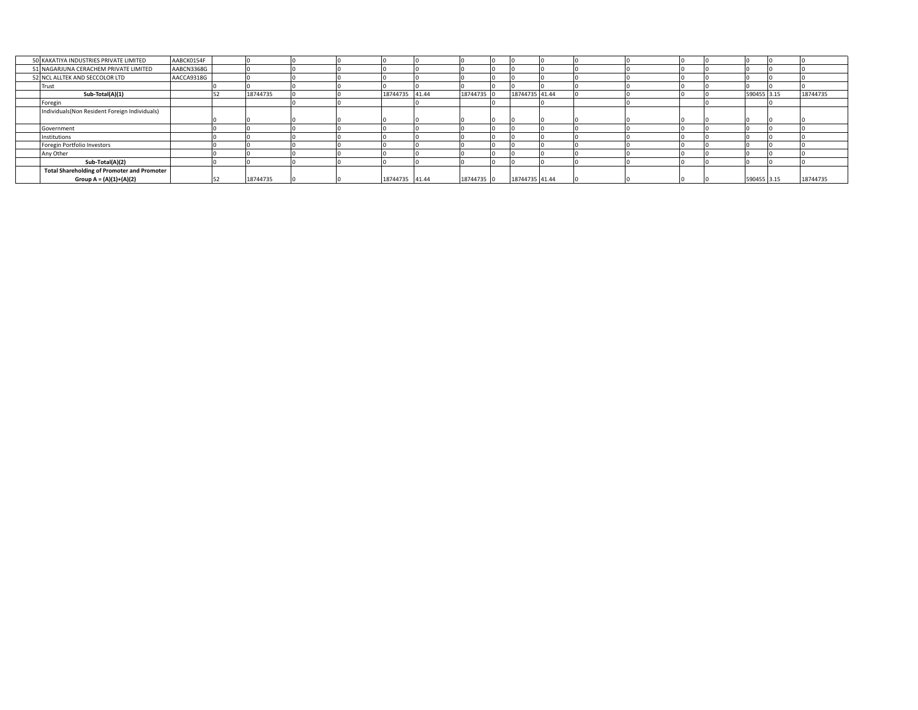| 50 KAKATIYA INDUSTRIES PRIVATE LIMITED             | AABCK0154F |          |  |                |            |                |  |  |             |          |
|----------------------------------------------------|------------|----------|--|----------------|------------|----------------|--|--|-------------|----------|
| 51 NAGARJUNA CERACHEM PRIVATE LIMITED              | AABCN3368G |          |  |                |            |                |  |  |             |          |
| 52 NCL ALLTEK AND SECCOLOR LTD                     | AACCA9318G |          |  |                |            |                |  |  |             |          |
| Trust                                              |            |          |  |                |            |                |  |  |             |          |
| Sub-Total(A)(1)                                    |            | 18744735 |  | 18744735 41.44 | 18744735 0 | 18744735 41.44 |  |  | 590455 3.15 | 18744735 |
| Foregin                                            |            |          |  |                |            |                |  |  |             |          |
| Individuals (Non Resident Foreign Individuals)     |            |          |  |                |            |                |  |  |             |          |
|                                                    |            |          |  |                |            |                |  |  |             |          |
| Government                                         |            |          |  |                |            |                |  |  |             |          |
| Institutions                                       |            |          |  |                |            |                |  |  |             |          |
| Foregin Portfolio Investors                        |            |          |  |                |            |                |  |  |             |          |
| Any Other                                          |            |          |  |                |            |                |  |  |             |          |
| Sub-Total(A)(2)                                    |            |          |  |                |            |                |  |  |             |          |
| <b>Total Shareholding of Promoter and Promoter</b> |            |          |  |                |            |                |  |  |             |          |
| Group A = (A)(1)+(A)(2)                            |            | 18744735 |  | 18744735 41.44 | 18744735 0 | 18744735 41.44 |  |  | 590455 3.15 | 18744735 |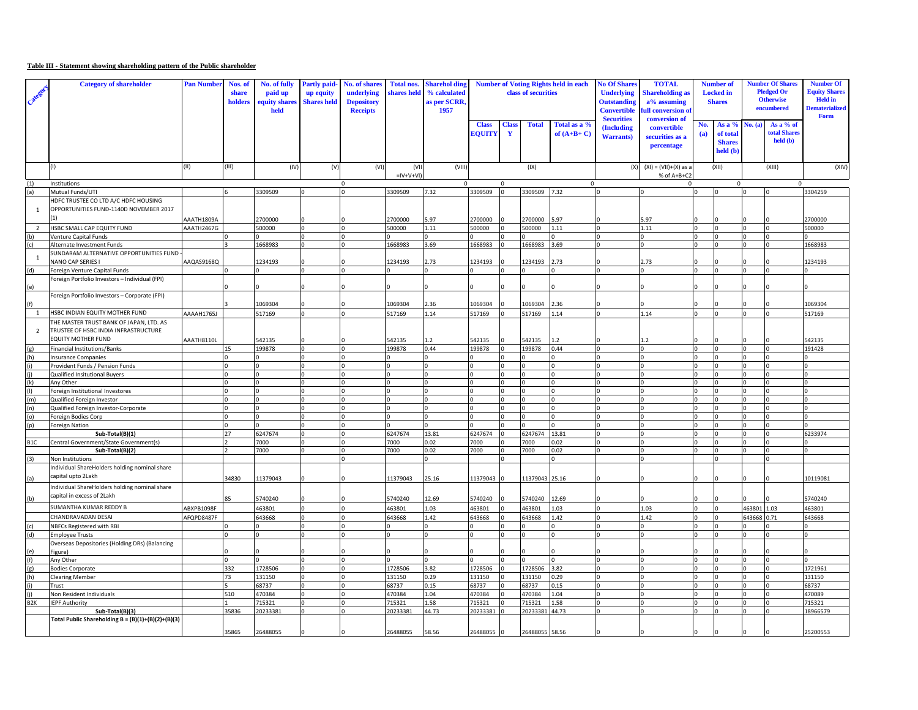## **Table III - Statement showing shareholding pattern of the Public shareholder**

| Catego           | <b>Category of shareholder</b>                                        | <b>Pan Number</b> | Nos. of<br>share<br>holders | No. of fully<br>paid up<br>quity shares<br>held | <b>Partly paid</b><br>up equity<br><b>Shares held</b> | No. of shares<br>underlying<br><b>Depository</b><br><b>Receipts</b> | <b>Total nos.</b><br>shares held | <b>Sharehol ding</b><br>% calculated<br>as per SCRR<br>1957 | <b>Number of Voting Rights held in each</b><br>class of securities |                              |                   | <b>No Of Shares</b><br><b>Underlying</b><br><b>Outstanding</b><br><b>Convertible</b><br><b>Securities</b> | <b>TOTAL</b><br><b>Shareholding as</b><br>a% assuming<br>full conversion of<br>conversion of | <b>Number of</b><br><b>Locked</b> in<br><b>Shares</b> |            | <b>Number Of Shares</b><br><b>Pledged Or</b><br><b>Otherwise</b><br>encumbered |                            | <b>Number Of</b><br><b>Equity Shares</b><br><b>Held</b> in<br><b>Dematerialized</b><br>Form |                   |
|------------------|-----------------------------------------------------------------------|-------------------|-----------------------------|-------------------------------------------------|-------------------------------------------------------|---------------------------------------------------------------------|----------------------------------|-------------------------------------------------------------|--------------------------------------------------------------------|------------------------------|-------------------|-----------------------------------------------------------------------------------------------------------|----------------------------------------------------------------------------------------------|-------------------------------------------------------|------------|--------------------------------------------------------------------------------|----------------------------|---------------------------------------------------------------------------------------------|-------------------|
|                  |                                                                       |                   |                             |                                                 |                                                       |                                                                     |                                  |                                                             | <b>Class</b><br><b>EOUITY</b>                                      | <b>Class</b><br>$\mathbf{Y}$ | <b>Total</b>      | Total as a %<br>of $(A+B+C)$                                                                              | (Including<br><b>Warrants</b> )                                                              | convertible<br>securities as a<br>percentage          | No.<br>(a) | As a %<br>of total<br><b>Shares</b><br>held (b)                                | $\left( \mathbf{a}\right)$ | As a % of<br>total Share<br>$\text{held}(\textbf{b})$                                       |                   |
|                  | (1)                                                                   | (II)              | (III)                       | (IV)                                            | (V)                                                   | (VI)                                                                | (VI)<br>$=$ IV+V+VI              | (VIII)                                                      |                                                                    |                              | (IX)              |                                                                                                           | (X)                                                                                          | $(XI) = (VII)+(X)$ as a<br>% of A+B+C2                |            | (XII)                                                                          |                            | (XIII)                                                                                      | (XIV)             |
| (1)              | Institutions                                                          |                   |                             |                                                 |                                                       | $\mathbf 0$                                                         |                                  | $\Omega$                                                    |                                                                    | $\Omega$                     |                   | $\mathbf 0$                                                                                               |                                                                                              | 0                                                     |            | $\mathsf 0$                                                                    |                            | $\Omega$                                                                                    |                   |
| (a)              | Mutual Funds/UTI                                                      |                   |                             | 3309509                                         |                                                       |                                                                     | 3309509                          | 7.32                                                        | 3309509 0                                                          |                              | 3309509 7.32      |                                                                                                           |                                                                                              |                                                       |            |                                                                                |                            |                                                                                             | 3304259           |
|                  | HDFC TRUSTEE CO LTD A/C HDFC HOUSING                                  |                   |                             |                                                 |                                                       |                                                                     |                                  |                                                             |                                                                    |                              |                   |                                                                                                           |                                                                                              |                                                       |            |                                                                                |                            |                                                                                             |                   |
| $\mathbf{1}$     | OPPORTUNITIES FUND-1140D NOVEMBER 2017                                |                   |                             |                                                 |                                                       |                                                                     |                                  |                                                             |                                                                    |                              |                   |                                                                                                           |                                                                                              |                                                       |            |                                                                                |                            |                                                                                             |                   |
|                  |                                                                       | AAATH1809A        |                             | 2700000                                         |                                                       |                                                                     | 2700000                          | .97                                                         | 2700000                                                            |                              | 2700000           | 5.97                                                                                                      |                                                                                              | 5.97                                                  |            |                                                                                |                            |                                                                                             | !700000           |
| $\overline{2}$   | HSBC SMALL CAP EQUITY FUND                                            | AAATH2467G        |                             | 500000                                          |                                                       |                                                                     | 500000                           | 1.11                                                        | 500000                                                             |                              | 500000            | $1.11\,$                                                                                                  |                                                                                              | 1.11                                                  |            |                                                                                |                            |                                                                                             | 500000            |
| (b)              | Venture Capital Funds                                                 |                   |                             |                                                 |                                                       |                                                                     |                                  |                                                             |                                                                    |                              |                   | $\Omega$                                                                                                  |                                                                                              |                                                       |            |                                                                                |                            |                                                                                             |                   |
| (c)              | Alternate Investment Funds<br>SUNDARAM ALTERNATIVE OPPORTUNITIES FUND |                   |                             | 1668983                                         |                                                       |                                                                     | 1668983                          | 3.69                                                        | 1668983                                                            |                              | 1668983           | 3.69                                                                                                      |                                                                                              |                                                       |            |                                                                                |                            |                                                                                             | 1668983           |
| $\overline{1}$   | NANO CAP SERIES I                                                     | AAQAS9168Q        |                             | 1234193                                         |                                                       |                                                                     | 1234193                          | 2.73                                                        | 1234193                                                            |                              | 1234193           | 2.73                                                                                                      |                                                                                              | 2.73                                                  |            |                                                                                |                            |                                                                                             | 1234193           |
| (d)              | Foreign Venture Capital Funds                                         |                   |                             |                                                 |                                                       |                                                                     |                                  |                                                             |                                                                    |                              |                   | U                                                                                                         |                                                                                              |                                                       |            |                                                                                | n.                         |                                                                                             |                   |
|                  | Foreign Portfolio Investors - Individual (FPI)                        |                   |                             |                                                 |                                                       |                                                                     |                                  |                                                             |                                                                    |                              |                   |                                                                                                           |                                                                                              |                                                       |            |                                                                                |                            |                                                                                             |                   |
| (e)              |                                                                       |                   |                             |                                                 |                                                       |                                                                     |                                  |                                                             |                                                                    |                              |                   |                                                                                                           |                                                                                              |                                                       |            |                                                                                |                            |                                                                                             |                   |
|                  | Foreign Portfolio Investors - Corporate (FPI)                         |                   |                             |                                                 |                                                       |                                                                     |                                  |                                                             |                                                                    |                              |                   |                                                                                                           |                                                                                              |                                                       |            |                                                                                |                            |                                                                                             |                   |
|                  |                                                                       |                   |                             | 1069304                                         |                                                       |                                                                     | 1069304                          | 2.36                                                        | 1069304                                                            |                              | 1069304           | 2.36                                                                                                      |                                                                                              |                                                       |            |                                                                                |                            |                                                                                             | 1069304           |
| $\mathbf{1}$     | HSBC INDIAN EQUITY MOTHER FUND                                        | AAAAH1765J        |                             | 517169                                          |                                                       |                                                                     | 517169                           | 1.14                                                        | 517169                                                             |                              | 517169            | 1.14                                                                                                      |                                                                                              | 1.14                                                  |            |                                                                                |                            |                                                                                             | 517169            |
|                  | THE MASTER TRUST BANK OF JAPAN, LTD. AS                               |                   |                             |                                                 |                                                       |                                                                     |                                  |                                                             |                                                                    |                              |                   |                                                                                                           |                                                                                              |                                                       |            |                                                                                |                            |                                                                                             |                   |
| $\overline{2}$   | TRUSTEE OF HSBC INDIA INFRASTRUCTURE                                  |                   |                             |                                                 |                                                       |                                                                     |                                  |                                                             |                                                                    |                              |                   |                                                                                                           |                                                                                              |                                                       |            |                                                                                |                            |                                                                                             |                   |
|                  | EQUITY MOTHER FUND                                                    | AAATH8110L        |                             | 542135                                          |                                                       |                                                                     | 542135                           | 1.2                                                         | 542135                                                             |                              | 542135            | 1.2                                                                                                       |                                                                                              |                                                       |            |                                                                                |                            |                                                                                             | 542135            |
| (g)              | Financial Institutions/Banks                                          |                   | 15                          | 199878                                          |                                                       |                                                                     | 199878                           | 0.44                                                        | 199878                                                             | $\Omega$                     | 199878            | 0.44                                                                                                      |                                                                                              | $\Omega$                                              | I۵         |                                                                                |                            |                                                                                             | 191428            |
| (h)              | <b>Insurance Companies</b>                                            |                   |                             |                                                 |                                                       |                                                                     |                                  | 0                                                           |                                                                    |                              |                   | 0                                                                                                         |                                                                                              |                                                       |            |                                                                                |                            |                                                                                             |                   |
|                  | Provident Funds / Pension Funds                                       |                   |                             |                                                 |                                                       |                                                                     |                                  | $\Omega$                                                    |                                                                    |                              |                   | $\Omega$<br>$\Omega$                                                                                      |                                                                                              |                                                       |            |                                                                                |                            |                                                                                             |                   |
| (k)              | Qualified Insitutional Buyers<br>Any Other                            |                   |                             |                                                 |                                                       |                                                                     |                                  |                                                             |                                                                    |                              |                   | $\Omega$                                                                                                  |                                                                                              |                                                       |            |                                                                                |                            |                                                                                             |                   |
|                  | Foreign Institutional Investores                                      |                   |                             |                                                 |                                                       |                                                                     |                                  | $\Omega$                                                    |                                                                    |                              |                   | $\Omega$                                                                                                  |                                                                                              |                                                       |            |                                                                                |                            |                                                                                             |                   |
| (m)              | Qualified Foreign Investor                                            |                   |                             |                                                 |                                                       |                                                                     |                                  |                                                             |                                                                    |                              |                   | $\Omega$                                                                                                  |                                                                                              |                                                       |            |                                                                                |                            |                                                                                             |                   |
| (n)              | Qualified Foreign Investor-Corporate                                  |                   |                             |                                                 |                                                       |                                                                     |                                  |                                                             |                                                                    |                              |                   | $\Omega$                                                                                                  |                                                                                              |                                                       |            |                                                                                |                            |                                                                                             |                   |
| (o)              | Foreign Bodies Corp                                                   |                   |                             |                                                 |                                                       |                                                                     |                                  | n                                                           |                                                                    |                              |                   | $\Omega$                                                                                                  |                                                                                              |                                                       |            |                                                                                |                            |                                                                                             |                   |
| (p)              | <b>Foreign Nation</b>                                                 |                   |                             |                                                 |                                                       |                                                                     |                                  |                                                             |                                                                    |                              |                   |                                                                                                           |                                                                                              |                                                       |            |                                                                                |                            |                                                                                             |                   |
|                  | Sub-Total(B)(1)                                                       |                   | 27                          | 6247674                                         |                                                       |                                                                     | 6247674                          | 13.81                                                       | 6247674                                                            |                              | 6247674           | 13.81                                                                                                     |                                                                                              |                                                       |            |                                                                                |                            |                                                                                             | 6233974           |
| B <sub>1</sub> C | Central Government/State Government(s)                                |                   |                             | 7000                                            |                                                       |                                                                     | 7000                             | 0.02                                                        | 7000                                                               |                              | 7000              | 0.02                                                                                                      |                                                                                              |                                                       |            |                                                                                |                            |                                                                                             |                   |
|                  | Sub-Total(B)(2)                                                       |                   |                             | 7000                                            |                                                       |                                                                     | 7000                             | 0.02                                                        | 7000                                                               | $\mathbf 0$                  | 7000              | 0.02                                                                                                      |                                                                                              |                                                       |            |                                                                                |                            |                                                                                             |                   |
| (3)              | Non Institutions                                                      |                   |                             |                                                 |                                                       |                                                                     |                                  | O.                                                          |                                                                    |                              |                   | <sup>o</sup>                                                                                              |                                                                                              |                                                       |            |                                                                                |                            |                                                                                             |                   |
|                  | ndividual ShareHolders holding nominal share                          |                   |                             |                                                 |                                                       |                                                                     |                                  |                                                             |                                                                    |                              |                   |                                                                                                           |                                                                                              |                                                       |            |                                                                                |                            |                                                                                             |                   |
| (a)              | capital upto 2Lakh                                                    |                   | 34830                       | 11379043                                        |                                                       |                                                                     | 11379043                         | 25.16                                                       | 11379043                                                           |                              | 11379043 25.16    |                                                                                                           |                                                                                              |                                                       |            |                                                                                |                            |                                                                                             | 10119081          |
|                  | Individual ShareHolders holding nominal share                         |                   |                             |                                                 |                                                       |                                                                     |                                  |                                                             |                                                                    |                              |                   |                                                                                                           |                                                                                              |                                                       |            |                                                                                |                            |                                                                                             |                   |
| (b)              | capital in excess of 2Lakh                                            |                   | 85                          | 5740240                                         |                                                       |                                                                     | 5740240                          | 12.69                                                       | 5740240                                                            |                              | 5740240           | 12.69                                                                                                     |                                                                                              |                                                       |            |                                                                                |                            |                                                                                             | 5740240           |
|                  | SUMANTHA KUMAR REDDY B                                                | ABXPB1098F        |                             | 163801                                          |                                                       |                                                                     | 463801                           | 1.03                                                        | 463801                                                             |                              | 463801            | 1.03                                                                                                      |                                                                                              | 1.03                                                  |            |                                                                                | 163801                     | 1.03                                                                                        | 163801            |
|                  | CHANDRAVADAN DESAI                                                    | AFQPD8487F        |                             | 643668                                          |                                                       |                                                                     | 643668                           | 1.42                                                        | 643668                                                             |                              | 643668            | 1.42                                                                                                      |                                                                                              | 1.42                                                  |            |                                                                                | 543668                     | 0.71                                                                                        | 643668            |
| (c)              | NBFCs Registered with RBI                                             |                   |                             |                                                 |                                                       |                                                                     |                                  |                                                             |                                                                    |                              |                   |                                                                                                           |                                                                                              |                                                       |            |                                                                                |                            |                                                                                             |                   |
| (d)              | <b>Employee Trusts</b>                                                |                   |                             |                                                 |                                                       |                                                                     |                                  |                                                             |                                                                    |                              |                   | $\Omega$                                                                                                  |                                                                                              |                                                       |            |                                                                                |                            |                                                                                             |                   |
|                  | Overseas Depositories (Holding DRs) (Balancing                        |                   |                             |                                                 |                                                       |                                                                     |                                  |                                                             |                                                                    |                              |                   |                                                                                                           |                                                                                              |                                                       |            |                                                                                |                            |                                                                                             |                   |
| (e)              | Figure)                                                               |                   |                             |                                                 |                                                       |                                                                     |                                  |                                                             |                                                                    |                              |                   | $\Omega$                                                                                                  |                                                                                              |                                                       |            |                                                                                |                            |                                                                                             |                   |
| (f)              | Any Other                                                             |                   | 332                         |                                                 |                                                       |                                                                     |                                  |                                                             |                                                                    |                              |                   |                                                                                                           |                                                                                              |                                                       |            |                                                                                |                            |                                                                                             |                   |
| (g)<br>(h)       | <b>Bodies Corporate</b>                                               |                   | 73                          | 1728506<br>131150                               |                                                       |                                                                     | 1728506<br>131150                | 3.82<br>0.29                                                | 1728506<br>131150                                                  |                              | 1728506<br>131150 | 3.82<br>0.29                                                                                              |                                                                                              |                                                       |            |                                                                                |                            |                                                                                             | 1721961<br>131150 |
| (i)              | <b>Clearing Member</b><br>Trust                                       |                   |                             | 68737                                           |                                                       |                                                                     | 68737                            | 0.15                                                        | 68737                                                              |                              | 68737             | 0.15                                                                                                      |                                                                                              |                                                       |            |                                                                                |                            |                                                                                             | 68737             |
|                  | Non Resident Individuals                                              |                   | 510                         | 470384                                          |                                                       |                                                                     | 470384                           | 1.04                                                        | 470384                                                             |                              | 470384            | 1.04                                                                                                      |                                                                                              |                                                       |            |                                                                                |                            |                                                                                             | 470089            |
| B <sub>2</sub> K | <b>IEPF Authority</b>                                                 |                   |                             | 715321                                          |                                                       |                                                                     | 715321                           | 1.58                                                        | 715321                                                             |                              | 715321            | 1.58                                                                                                      |                                                                                              |                                                       |            |                                                                                |                            |                                                                                             | 715321            |
|                  | Sub-Total(B)(3)                                                       |                   | 35836                       | 20233381                                        |                                                       |                                                                     | 20233381                         | 44.73                                                       | 20233381                                                           |                              | 20233381          | 44.73                                                                                                     |                                                                                              |                                                       |            |                                                                                |                            |                                                                                             | 18966579          |
|                  | Total Public Shareholding B = (B)(1)+(B)(2)+(B)(3)                    |                   |                             |                                                 |                                                       |                                                                     |                                  |                                                             |                                                                    |                              |                   |                                                                                                           |                                                                                              |                                                       |            |                                                                                |                            |                                                                                             |                   |
|                  |                                                                       |                   | 35865                       | 26488055                                        |                                                       |                                                                     | 26488055                         | 58.56                                                       | 26488055 0                                                         |                              | 26488055 58.56    |                                                                                                           |                                                                                              |                                                       |            |                                                                                |                            |                                                                                             | 25200553          |